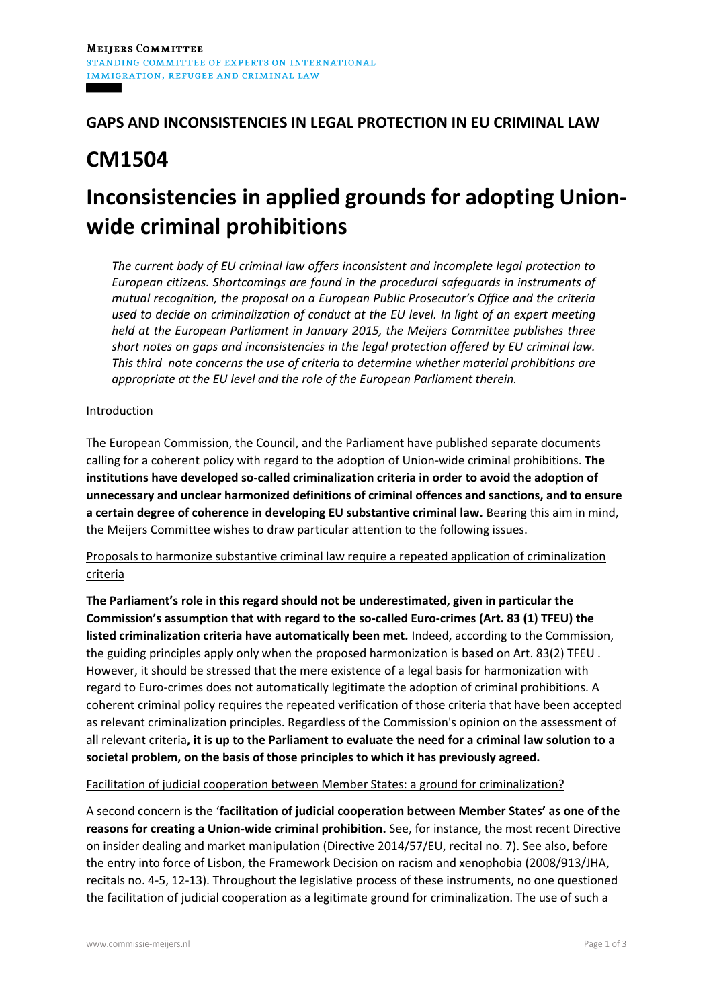### **GAPS AND INCONSISTENCIES IN LEGAL PROTECTION IN EU CRIMINAL LAW**

# **CM1504**

# **Inconsistencies in applied grounds for adopting Unionwide criminal prohibitions**

*The current body of EU criminal law offers inconsistent and incomplete legal protection to European citizens. Shortcomings are found in the procedural safeguards in instruments of mutual recognition, the proposal on a European Public Prosecutor's Office and the criteria used to decide on criminalization of conduct at the EU level. In light of an expert meeting held at the European Parliament in January 2015, the Meijers Committee publishes three short notes on gaps and inconsistencies in the legal protection offered by EU criminal law. This third note concerns the use of criteria to determine whether material prohibitions are appropriate at the EU level and the role of the European Parliament therein.* 

#### **Introduction**

The European Commission, the Council, and the Parliament have published separate documents calling for a coherent policy with regard to the adoption of Union-wide criminal prohibitions. **The institutions have developed so-called criminalization criteria in order to avoid the adoption of unnecessary and unclear harmonized definitions of criminal offences and sanctions, and to ensure a certain degree of coherence in developing EU substantive criminal law.** Bearing this aim in mind, the Meijers Committee wishes to draw particular attention to the following issues.

#### Proposals to harmonize substantive criminal law require a repeated application of criminalization criteria

**The Parliament's role in this regard should not be underestimated, given in particular the Commission's assumption that with regard to the so-called Euro-crimes (Art. 83 (1) TFEU) the listed criminalization criteria have automatically been met.** Indeed, according to the Commission, the guiding principles apply only when the proposed harmonization is based on Art. 83(2) TFEU . However, it should be stressed that the mere existence of a legal basis for harmonization with regard to Euro-crimes does not automatically legitimate the adoption of criminal prohibitions. A coherent criminal policy requires the repeated verification of those criteria that have been accepted as relevant criminalization principles. Regardless of the Commission's opinion on the assessment of all relevant criteria**, it is up to the Parliament to evaluate the need for a criminal law solution to a societal problem, on the basis of those principles to which it has previously agreed.**

#### Facilitation of judicial cooperation between Member States: a ground for criminalization?

A second concern is the '**facilitation of judicial cooperation between Member States' as one of the reasons for creating a Union-wide criminal prohibition.** See, for instance, the most recent Directive on insider dealing and market manipulation (Directive 2014/57/EU, recital no. 7). See also, before the entry into force of Lisbon, the Framework Decision on racism and xenophobia (2008/913/JHA, recitals no. 4-5, 12-13). Throughout the legislative process of these instruments, no one questioned the facilitation of judicial cooperation as a legitimate ground for criminalization. The use of such a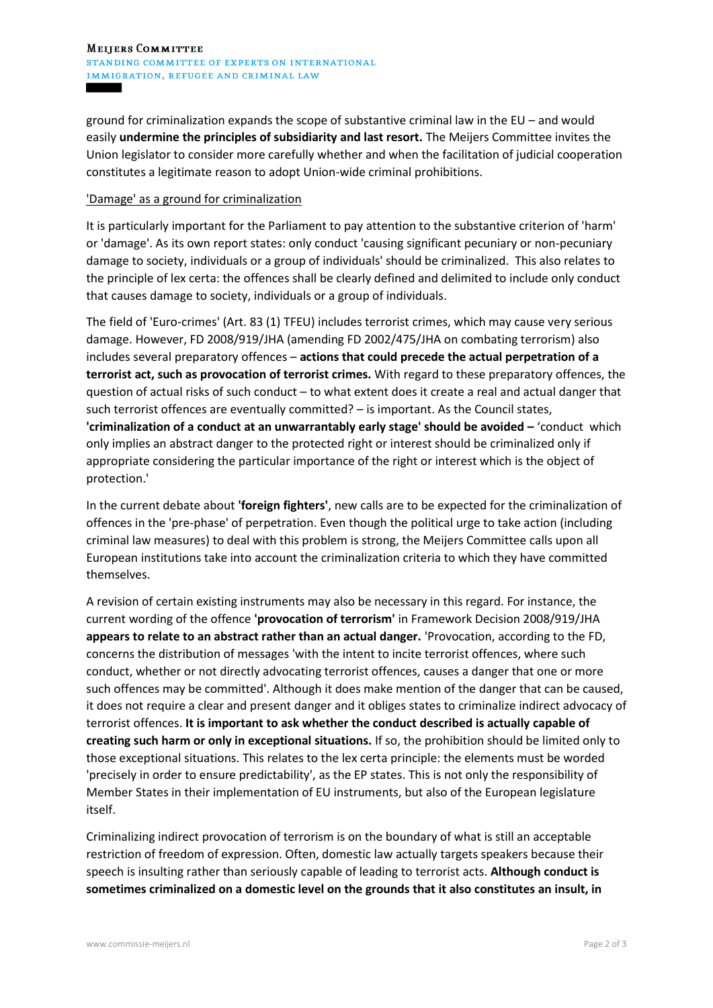#### **MEIJERS COMMITTEE** STANDING COMMITTEE OF EXPERTS ON INTERNATIONAL IMMIGRATION, REFUGEE AND CRIMINAL LAW

ground for criminalization expands the scope of substantive criminal law in the EU – and would easily **undermine the principles of subsidiarity and last resort.** The Meijers Committee invites the Union legislator to consider more carefully whether and when the facilitation of judicial cooperation constitutes a legitimate reason to adopt Union-wide criminal prohibitions.

#### 'Damage' as a ground for criminalization

It is particularly important for the Parliament to pay attention to the substantive criterion of 'harm' or 'damage'. As its own report states: only conduct 'causing significant pecuniary or non-pecuniary damage to society, individuals or a group of individuals' should be criminalized. This also relates to the principle of lex certa: the offences shall be clearly defined and delimited to include only conduct that causes damage to society, individuals or a group of individuals.

The field of 'Euro-crimes' (Art. 83 (1) TFEU) includes terrorist crimes, which may cause very serious damage. However, FD 2008/919/JHA (amending FD 2002/475/JHA on combating terrorism) also includes several preparatory offences – **actions that could precede the actual perpetration of a terrorist act, such as provocation of terrorist crimes.** With regard to these preparatory offences, the question of actual risks of such conduct – to what extent does it create a real and actual danger that such terrorist offences are eventually committed? – is important. As the Council states, **'criminalization of a conduct at an unwarrantably early stage' should be avoided –** 'conduct which only implies an abstract danger to the protected right or interest should be criminalized only if appropriate considering the particular importance of the right or interest which is the object of protection.'

In the current debate about **'foreign fighters'**, new calls are to be expected for the criminalization of offences in the 'pre-phase' of perpetration. Even though the political urge to take action (including criminal law measures) to deal with this problem is strong, the Meijers Committee calls upon all European institutions take into account the criminalization criteria to which they have committed themselves.

A revision of certain existing instruments may also be necessary in this regard. For instance, the current wording of the offence **'provocation of terrorism'** in Framework Decision 2008/919/JHA **appears to relate to an abstract rather than an actual danger.** 'Provocation, according to the FD, concerns the distribution of messages 'with the intent to incite terrorist offences, where such conduct, whether or not directly advocating terrorist offences, causes a danger that one or more such offences may be committed'. Although it does make mention of the danger that can be caused, it does not require a clear and present danger and it obliges states to criminalize indirect advocacy of terrorist offences. **It is important to ask whether the conduct described is actually capable of creating such harm or only in exceptional situations.** If so, the prohibition should be limited only to those exceptional situations. This relates to the lex certa principle: the elements must be worded 'precisely in order to ensure predictability', as the EP states. This is not only the responsibility of Member States in their implementation of EU instruments, but also of the European legislature itself.

Criminalizing indirect provocation of terrorism is on the boundary of what is still an acceptable restriction of freedom of expression. Often, domestic law actually targets speakers because their speech is insulting rather than seriously capable of leading to terrorist acts. **Although conduct is sometimes criminalized on a domestic level on the grounds that it also constitutes an insult, in**